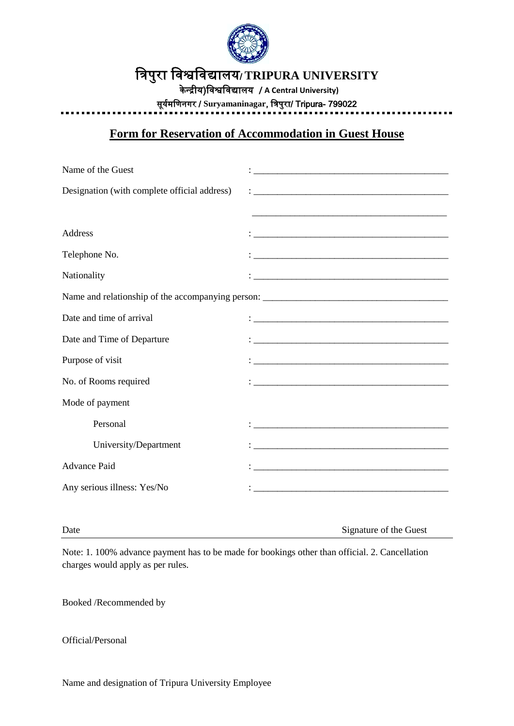

# त्रिपुरा त्रिश्वत्रिद्यालय/ **TRIPURA UNIVERSITY**

यी रन्द्ेय(त्रिश्वत्रिद्यालय **/ A Central University)**

सूययमत्रिनगर / **Suryamaninagar**, त्रिपुरा/ Tripura- 799022

## **Form for Reservation of Accommodation in Guest House**

| Name of the Guest                            | <u> 1980 - Jan Barnett, fransk politik (d. 1980)</u>                                                                                                                                                                                      |
|----------------------------------------------|-------------------------------------------------------------------------------------------------------------------------------------------------------------------------------------------------------------------------------------------|
| Designation (with complete official address) |                                                                                                                                                                                                                                           |
|                                              |                                                                                                                                                                                                                                           |
| Address                                      |                                                                                                                                                                                                                                           |
| Telephone No.                                |                                                                                                                                                                                                                                           |
| Nationality                                  |                                                                                                                                                                                                                                           |
|                                              |                                                                                                                                                                                                                                           |
| Date and time of arrival                     |                                                                                                                                                                                                                                           |
| Date and Time of Departure                   |                                                                                                                                                                                                                                           |
| Purpose of visit                             |                                                                                                                                                                                                                                           |
| No. of Rooms required                        |                                                                                                                                                                                                                                           |
| Mode of payment                              |                                                                                                                                                                                                                                           |
| Personal                                     | $\mathbf{1}_{\mathcal{A}}$ . The contract of the contract of the contract of the contract of the contract of the contract of the contract of the contract of the contract of the contract of the contract of the contract of the contract |
| University/Department                        | <u> 1989 - Johann Harry Harry Harry Harry Harry Harry Harry Harry Harry Harry Harry Harry Harry Harry Harry Harry</u>                                                                                                                     |
| <b>Advance Paid</b>                          |                                                                                                                                                                                                                                           |
| Any serious illness: Yes/No                  |                                                                                                                                                                                                                                           |
|                                              |                                                                                                                                                                                                                                           |

Date Signature of the Guest

Note: 1. 100% advance payment has to be made for bookings other than official. 2. Cancellation charges would apply as per rules.

Booked /Recommended by

Official/Personal